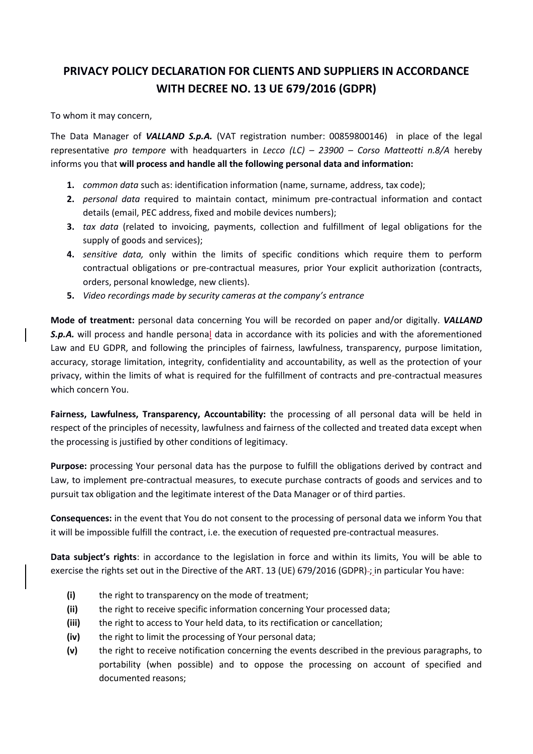## **PRIVACY POLICY DECLARATION FOR CLIENTS AND SUPPLIERS IN ACCORDANCE WITH DECREE NO. 13 UE 679/2016 (GDPR)**

To whom it may concern,

The Data Manager of *VALLAND S.p.A.* (VAT registration number: 00859800146) in place of the legal representative *pro tempore* with headquarters in *Lecco (LC) – 23900 – Corso Matteotti n.8/A* hereby informs you that **will process and handle all the following personal data and information:**

- **1.** *common data* such as: identification information (name, surname, address, tax code);
- **2.** *personal data* required to maintain contact, minimum pre-contractual information and contact details (email, PEC address, fixed and mobile devices numbers);
- **3.** *tax data* (related to invoicing, payments, collection and fulfillment of legal obligations for the supply of goods and services);
- **4.** *sensitive data,* only within the limits of specific conditions which require them to perform contractual obligations or pre-contractual measures, prior Your explicit authorization (contracts, orders, personal knowledge, new clients).
- **5.** *Video recordings made by security cameras at the company's entrance*

**Mode of treatment:** personal data concerning You will be recorded on paper and/or digitally. *VALLAND*  **S.p.A.** will process and handle personal data in accordance with its policies and with the aforementioned Law and EU GDPR, and following the principles of fairness, lawfulness, transparency, purpose limitation, accuracy, storage limitation, integrity, confidentiality and accountability, as well as the protection of your privacy, within the limits of what is required for the fulfillment of contracts and pre-contractual measures which concern You.

**Fairness, Lawfulness, Transparency, Accountability:** the processing of all personal data will be held in respect of the principles of necessity, lawfulness and fairness of the collected and treated data except when the processing is justified by other conditions of legitimacy.

Purpose: processing Your personal data has the purpose to fulfill the obligations derived by contract and Law, to implement pre-contractual measures, to execute purchase contracts of goods and services and to pursuit tax obligation and the legitimate interest of the Data Manager or of third parties.

**Consequences:** in the event that You do not consent to the processing of personal data we inform You that it will be impossible fulfill the contract, i.e. the execution of requested pre-contractual measures.

**Data subject's rights**: in accordance to the legislation in force and within its limits, You will be able to exercise the rights set out in the Directive of the ART. 13 (UE) 679/2016 (GDPR) ; in particular You have:

- **(i)** the right to transparency on the mode of treatment;
- **(ii)** the right to receive specific information concerning Your processed data;
- **(iii)** the right to access to Your held data, to its rectification or cancellation;
- **(iv)** the right to limit the processing of Your personal data;
- **(v)** the right to receive notification concerning the events described in the previous paragraphs, to portability (when possible) and to oppose the processing on account of specified and documented reasons;